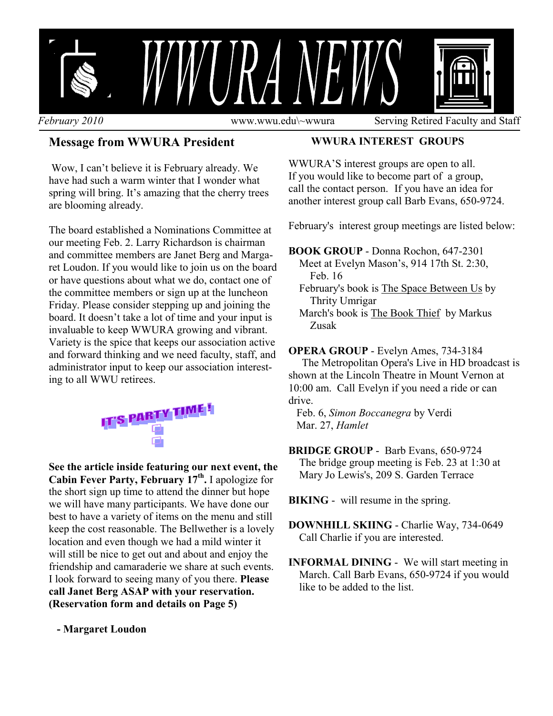

### **Message from WWURA President**

 Wow, I can't believe it is February already. We have had such a warm winter that I wonder what spring will bring. It's amazing that the cherry trees are blooming already.

The board established a Nominations Committee at our meeting Feb. 2. Larry Richardson is chairman and committee members are Janet Berg and Margaret Loudon. If you would like to join us on the board or have questions about what we do, contact one of the committee members or sign up at the luncheon Friday. Please consider stepping up and joining the board. It doesn't take a lot of time and your input is invaluable to keep WWURA growing and vibrant. Variety is the spice that keeps our association active and forward thinking and we need faculty, staff, and administrator input to keep our association interesting to all WWU retirees.



**See the article inside featuring our next event, the**  Cabin Fever Party, February 17<sup>th</sup>, I apologize for the short sign up time to attend the dinner but hope we will have many participants. We have done our best to have a variety of items on the menu and still keep the cost reasonable. The Bellwether is a lovely location and even though we had a mild winter it will still be nice to get out and about and enjoy the friendship and camaraderie we share at such events. I look forward to seeing many of you there. **Please call Janet Berg ASAP with your reservation. (Reservation form and details on Page 5)** 

 **- Margaret Loudon** 

#### **WWURA INTEREST GROUPS**

WWURA'S interest groups are open to all. If you would like to become part of a group, call the contact person. If you have an idea for another interest group call Barb Evans, 650-9724.

February's interest group meetings are listed below:

#### **BOOK GROUP** - Donna Rochon, 647-2301

- Meet at Evelyn Mason's, 914 17th St. 2:30, Feb. 16
- February's book is The Space Between Us by Thrity Umrigar
- March's book is The Book Thief by Markus Zusak

#### **OPERA GROUP** - Evelyn Ames, 734-3184

 The Metropolitan Opera's Live in HD broadcast is shown at the Lincoln Theatre in Mount Vernon at 10:00 am. Call Evelyn if you need a ride or can drive.

 Feb. 6, *Simon Boccanegra* by Verdi Mar. 27, *Hamlet*

#### **BRIDGE GROUP** - Barb Evans, 650-9724 The bridge group meeting is Feb. 23 at 1:30 at

Mary Jo Lewis's, 209 S. Garden Terrace

**BIKING** - will resume in the spring.

- **DOWNHILL SKIING** Charlie Way, 734-0649 Call Charlie if you are interested.
- **INFORMAL DINING** We will start meeting in March. Call Barb Evans, 650-9724 if you would like to be added to the list.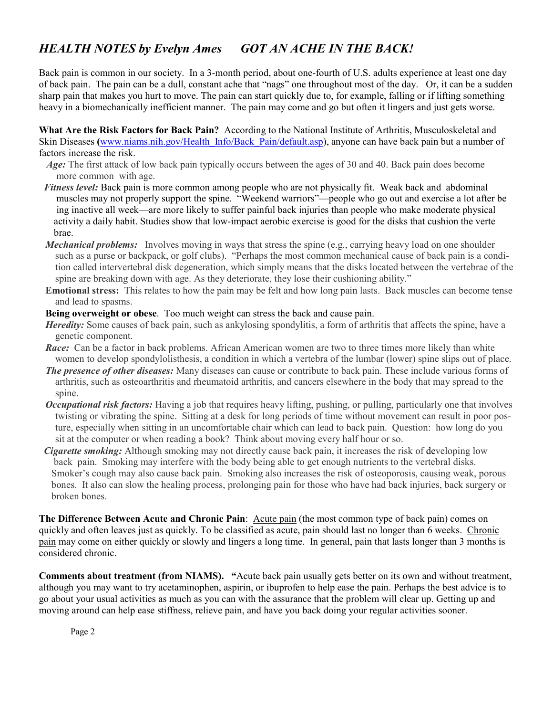# *HEALTH NOTES by Evelyn Ames GOT AN ACHE IN THE BACK!*

Back pain is common in our society. In a 3-month period, about one-fourth of U.S. adults experience at least one day of back pain. The pain can be a dull, constant ache that "nags" one throughout most of the day. Or, it can be a sudden sharp pain that makes you hurt to move. The pain can start quickly due to, for example, falling or if lifting something heavy in a biomechanically inefficient manner. The pain may come and go but often it lingers and just gets worse.

**What Are the Risk Factors for Back Pain?** According to the National Institute of Arthritis, Musculoskeletal and Skin Diseases (www.niams.nih.gov/Health\_Info/Back\_Pain/default.asp), anyone can have back pain but a number of factors increase the risk.

- *Age*: The first attack of low back pain typically occurs between the ages of 30 and 40. Back pain does become more common with age.
- *Fitness level:* Back pain is more common among people who are not physically fit. Weak back and abdominal muscles may not properly support the spine. "Weekend warriors"—people who go out and exercise a lot after be ing inactive all week—are more likely to suffer painful back injuries than people who make moderate physical activity a daily habit. Studies show that low-impact aerobic exercise is good for the disks that cushion the verte brae.
- *Mechanical problems:* Involves moving in ways that stress the spine (e.g., carrying heavy load on one shoulder such as a purse or backpack, or golf clubs). "Perhaps the most common mechanical cause of back pain is a condition called intervertebral disk degeneration, which simply means that the disks located between the vertebrae of the spine are breaking down with age. As they deteriorate, they lose their cushioning ability."
- **Emotional stress:** This relates to how the pain may be felt and how long pain lasts. Back muscles can become tense and lead to spasms.
- **Being overweight or obese**. Too much weight can stress the back and cause pain.
- *Heredity:* Some causes of back pain, such as ankylosing spondylitis, a form of arthritis that affects the spine, have a genetic component.
- *Race:* Can be a factor in back problems. African American women are two to three times more likely than white women to develop spondylolisthesis, a condition in which a vertebra of the lumbar (lower) spine slips out of place.
- *The presence of other diseases:* Many diseases can cause or contribute to back pain. These include various forms of arthritis, such as osteoarthritis and rheumatoid arthritis, and cancers elsewhere in the body that may spread to the spine.
- *Occupational risk factors:* Having a job that requires heavy lifting, pushing, or pulling, particularly one that involves twisting or vibrating the spine. Sitting at a desk for long periods of time without movement can result in poor posture, especially when sitting in an uncomfortable chair which can lead to back pain. Question: how long do you sit at the computer or when reading a book? Think about moving every half hour or so.
- *Cigarette smoking:* Although smoking may not directly cause back pain, it increases the risk of developing low back pain. Smoking may interfere with the body being able to get enough nutrients to the vertebral disks. Smoker's cough may also cause back pain. Smoking also increases the risk of osteoporosis, causing weak, porous bones. It also can slow the healing process, prolonging pain for those who have had back injuries, back surgery or broken bones.

The Difference Between Acute and Chronic Pain: Acute pain (the most common type of back pain) comes on quickly and often leaves just as quickly. To be classified as acute, pain should last no longer than 6 weeks. Chronic pain may come on either quickly or slowly and lingers a long time. In general, pain that lasts longer than 3 months is considered chronic.

**Comments about treatment (from NIAMS). "**Acute back pain usually gets better on its own and without treatment, although you may want to try acetaminophen, aspirin, or ibuprofen to help ease the pain. Perhaps the best advice is to go about your usual activities as much as you can with the assurance that the problem will clear up. Getting up and moving around can help ease stiffness, relieve pain, and have you back doing your regular activities sooner.

Page 2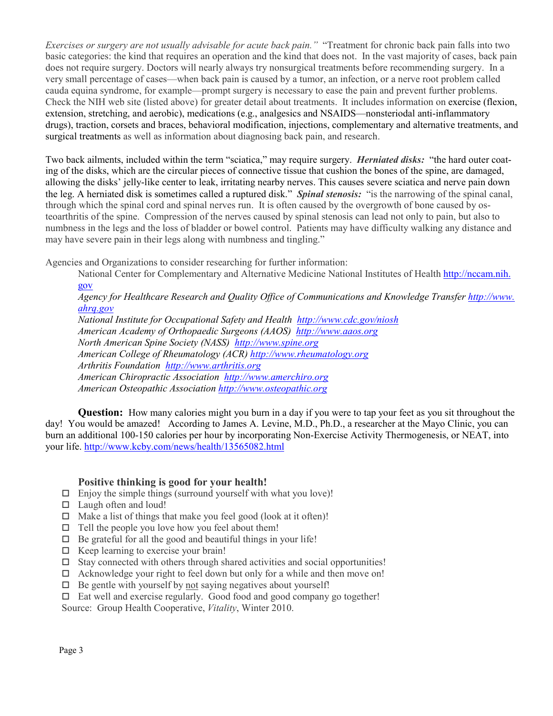*Exercises or surgery are not usually advisable for acute back pain."* "Treatment for chronic back pain falls into two basic categories: the kind that requires an operation and the kind that does not. In the vast majority of cases, back pain does not require surgery. Doctors will nearly always try nonsurgical treatments before recommending surgery. In a very small percentage of cases—when back pain is caused by a tumor, an infection, or a nerve root problem called cauda equina syndrome, for example—prompt surgery is necessary to ease the pain and prevent further problems. Check the NIH web site (listed above) for greater detail about treatments. It includes information on exercise (flexion, extension, stretching, and aerobic), medications (e.g., analgesics and NSAIDS—nonsteriodal anti-inflammatory drugs), traction, corsets and braces, behavioral modification, injections, complementary and alternative treatments, and surgical treatments as well as information about diagnosing back pain, and research.

Two back ailments, included within the term "sciatica," may require surgery. *Herniated disks:* "the hard outer coating of the disks, which are the circular pieces of connective tissue that cushion the bones of the spine, are damaged, allowing the disks' jelly-like center to leak, irritating nearby nerves. This causes severe sciatica and nerve pain down the leg. A herniated disk is sometimes called a ruptured disk." *Spinal stenosis:* "is the narrowing of the spinal canal, through which the spinal cord and spinal nerves run. It is often caused by the overgrowth of bone caused by osteoarthritis of the spine. Compression of the nerves caused by spinal stenosis can lead not only to pain, but also to numbness in the legs and the loss of bladder or bowel control. Patients may have difficulty walking any distance and may have severe pain in their legs along with numbness and tingling."

Agencies and Organizations to consider researching for further information:

National Center for Complementary and Alternative Medicine National Institutes of Health http://nccam.nih. gov

*Agency for Healthcare Research and Quality Office of Communications and Knowledge Transfer http://www. ahrq.gov*

*National Institute for Occupational Safety and Health http://www.cdc.gov/niosh American Academy of Orthopaedic Surgeons (AAOS) http://www.aaos.org North American Spine Society (NASS) http://www.spine.org American College of Rheumatology (ACR) http://www.rheumatology.org Arthritis Foundation http://www.arthritis.org American Chiropractic Association http://www.amerchiro.org American Osteopathic Association http://www.osteopathic.org* 

**Question:** How many calories might you burn in a day if you were to tap your feet as you sit throughout the day! You would be amazed! According to James A. Levine, M.D., Ph.D., a researcher at the Mayo Clinic, you can burn an additional 100-150 calories per hour by incorporating Non-Exercise Activity Thermogenesis, or NEAT, into your life. http://www.kcby.com/news/health/13565082.html

#### **Positive thinking is good for your health!**

- $\Box$  Enjoy the simple things (surround yourself with what you love)!
- □ Laugh often and loud!
- $\Box$  Make a list of things that make you feel good (look at it often)!
- $\Box$  Tell the people you love how you feel about them!
- $\Box$  Be grateful for all the good and beautiful things in your life!
- $\Box$  Keep learning to exercise your brain!
- $\square$  Stay connected with others through shared activities and social opportunities!
- $\Box$  Acknowledge your right to feel down but only for a while and then move on!
- $\Box$  Be gentle with yourself by not saying negatives about yourself!
- $\Box$  Eat well and exercise regularly. Good food and good company go together!

Source: Group Health Cooperative, *Vitality*, Winter 2010.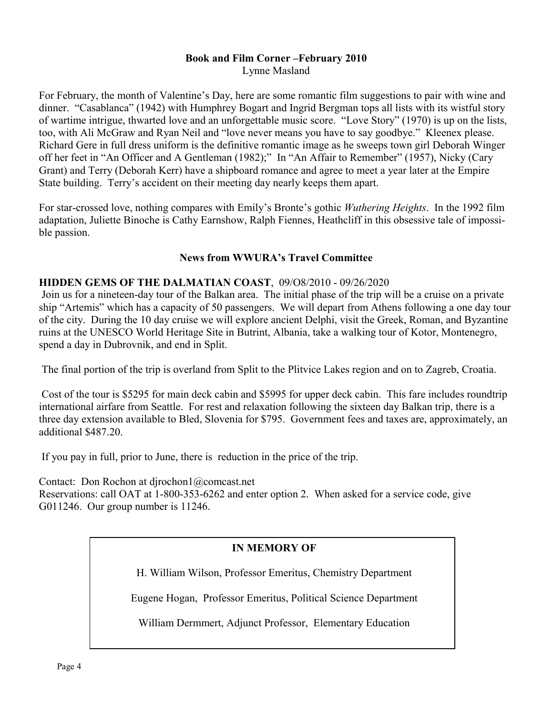## **Book and Film Corner –February 2010**

Lynne Masland

For February, the month of Valentine's Day, here are some romantic film suggestions to pair with wine and dinner. "Casablanca" (1942) with Humphrey Bogart and Ingrid Bergman tops all lists with its wistful story of wartime intrigue, thwarted love and an unforgettable music score. "Love Story" (1970) is up on the lists, too, with Ali McGraw and Ryan Neil and "love never means you have to say goodbye." Kleenex please. Richard Gere in full dress uniform is the definitive romantic image as he sweeps town girl Deborah Winger off her feet in "An Officer and A Gentleman (1982);" In "An Affair to Remember" (1957), Nicky (Cary Grant) and Terry (Deborah Kerr) have a shipboard romance and agree to meet a year later at the Empire State building. Terry's accident on their meeting day nearly keeps them apart.

For star-crossed love, nothing compares with Emily's Bronte's gothic *Wuthering Heights*. In the 1992 film adaptation, Juliette Binoche is Cathy Earnshow, Ralph Fiennes, Heathcliff in this obsessive tale of impossible passion.

#### **News from WWURA's Travel Committee**

#### **HIDDEN GEMS OF THE DALMATIAN COAST**, 09/O8/2010 - 09/26/2020

 Join us for a nineteen-day tour of the Balkan area. The initial phase of the trip will be a cruise on a private ship "Artemis" which has a capacity of 50 passengers. We will depart from Athens following a one day tour of the city. During the 10 day cruise we will explore ancient Delphi, visit the Greek, Roman, and Byzantine ruins at the UNESCO World Heritage Site in Butrint, Albania, take a walking tour of Kotor, Montenegro, spend a day in Dubrovnik, and end in Split.

The final portion of the trip is overland from Split to the Plitvice Lakes region and on to Zagreb, Croatia.

 Cost of the tour is \$5295 for main deck cabin and \$5995 for upper deck cabin. This fare includes roundtrip international airfare from Seattle. For rest and relaxation following the sixteen day Balkan trip, there is a three day extension available to Bled, Slovenia for \$795. Government fees and taxes are, approximately, an additional \$487.20.

If you pay in full, prior to June, there is reduction in the price of the trip.

Contact: Don Rochon at djrochon1@comcast.net Reservations: call OAT at 1-800-353-6262 and enter option 2. When asked for a service code, give G011246. Our group number is 11246.

## **IN MEMORY OF**

H. William Wilson, Professor Emeritus, Chemistry Department

Eugene Hogan, Professor Emeritus, Political Science Department

William Dermmert, Adjunct Professor, Elementary Education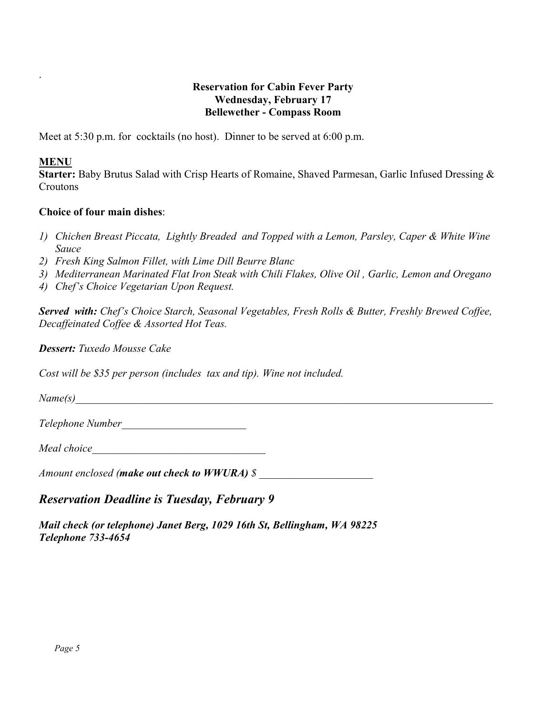#### **Reservation for Cabin Fever Party Wednesday, February 17 Bellewether - Compass Room**

Meet at 5:30 p.m. for cocktails (no host). Dinner to be served at 6:00 p.m.

#### **MENU**

.

**Starter:** Baby Brutus Salad with Crisp Hearts of Romaine, Shaved Parmesan, Garlic Infused Dressing & Croutons

#### **Choice of four main dishes**:

- *1) Chichen Breast Piccata, Lightly Breaded and Topped with a Lemon, Parsley, Caper & White Wine Sauce*
- *2) Fresh King Salmon Fillet, with Lime Dill Beurre Blanc*
- *3) Mediterranean Marinated Flat Iron Steak with Chili Flakes, Olive Oil , Garlic, Lemon and Oregano*
- *4) Chef's Choice Vegetarian Upon Request.*

*Served with: Chef's Choice Starch, Seasonal Vegetables, Fresh Rolls & Butter, Freshly Brewed Coffee, Decaffeinated Coffee & Assorted Hot Teas.* 

*Dessert: Tuxedo Mousse Cake* 

*Cost will be \$35 per person (includes tax and tip). Wine not included.* 

*Name(s)\_\_\_\_\_\_\_\_\_\_\_\_\_\_\_\_\_\_\_\_\_\_\_\_\_\_\_\_\_\_\_\_\_\_\_\_\_\_\_\_\_\_\_\_\_\_\_\_\_\_\_\_\_\_\_\_\_\_\_\_\_\_\_\_\_\_\_\_\_\_\_\_\_\_\_\_\_* 

*Telephone Number\_\_\_\_\_\_\_\_\_\_\_\_\_\_\_\_\_\_\_\_\_\_\_* 

*Meal choice\_\_\_\_\_\_\_\_\_\_\_\_\_\_\_\_\_\_\_\_\_\_\_\_\_\_\_\_\_\_\_\_* 

*Amount enclosed (make out check to WWURA) \$ \_\_\_\_\_\_\_\_\_\_\_\_\_\_\_\_\_\_\_\_\_* 

## *Reservation Deadline is Tuesday, February 9*

*Mail check (or telephone) Janet Berg, 1029 16th St, Bellingham, WA 98225 Telephone 733-4654*